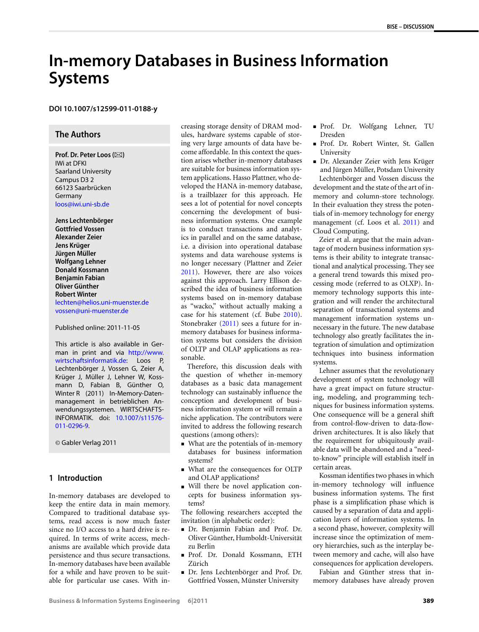# **In-memory Databases in Business Information Systems**

# **DOI 10.1007/s12599-011-0188-y**

# **The Authors**

 $\mathsf{Prof.}$  Dr. Peter Loos ( $\boxtimes$ ) IWi at DFKI Saarland University Campus D3 2 66123 Saarbrücken Germany [loos@iwi.uni-sb.de](mailto:loos@iwi.uni-sb.de)

**Jens Lechtenbörger Gottfried Vossen Alexander Zeier Jens Krüger Jürgen Müller Wolfgang Lehner Donald Kossmann Benjamin Fabian Oliver Günther Robert Winter** [lechten@helios.uni-muenster.de](mailto:lechten@helios.uni-muenster.de) [vossen@uni-muenster.de](mailto:vossen@uni-muenster.de)

Published online: 2011-11-05

This article is also available in German in print and via [http://www.](http://www.wirtschaftsinformatik.de) [wirtschaftsinformatik.de:](http://www.wirtschaftsinformatik.de) Loos P, Lechtenbörger J, Vossen G, Zeier A, Krüger J, Müller J, Lehner W, Kossmann D, Fabian B, Günther O, Winter R (2011) In-Memory-Datenmanagement in betrieblichen Anwendungssystemen. WIRTSCHAFTS-INFORMATIK. doi: [10.1007/s11576-](http://dx.doi.org/10.1007/s11576-011-0296-9) [011-0296-9](http://dx.doi.org/10.1007/s11576-011-0296-9).

<span id="page-0-0"></span>© Gabler Verlag 2011

# **1 Introduction**

In-memory databases are developed to keep the entire data in main memory. Compared to traditional database systems, read access is now much faster since no I/O access to a hard drive is required. In terms of write access, mechanisms are available which provide data persistence and thus secure transactions. In-memory databases have been available for a while and have proven to be suitable for particular use cases. With increasing storage density of DRAM modules, hardware systems capable of storing very large amounts of data have become affordable. In this context the question arises whether in-memory databases are suitable for business information system applications. Hasso Plattner, who developed the HANA in-memory database, is a trailblazer for this approach. He sees a lot of potential for novel concepts concerning the development of business information systems. One example is to conduct transactions and analytics in parallel and on the same database, i.e. a division into operational database systems and data warehouse systems is no longer necessary (Plattner and Zeier [2011](#page-6-0)). However, there are also voices against this approach. Larry Ellison described the idea of business information systems based on in-memory database as "wacko," without actually making a case for his statement (cf. Bube [2010](#page-6-1)). Stonebraker [\(2011\)](#page-6-2) sees a future for inmemory databases for business information systems but considers the division of OLTP and OLAP applications as reasonable.

Therefore, this discussion deals with the question of whether in-memory databases as a basic data management technology can sustainably influence the conception and development of business information system or will remain a niche application. The contributors were invited to address the following research questions (among others):

- What are the potentials of in-memory databases for business information systems?
- What are the consequences for OLTP and OLAP applications?
- Will there be novel application concepts for business information systems?

The following researchers accepted the invitation (in alphabetic order):

- Dr. Benjamin Fabian and Prof. Dr. Oliver Günther, Humboldt-Universität zu Berlin
- Prof. Dr. Donald Kossmann, ETH Zürich
- Dr. Jens Lechtenbörger and Prof. Dr. Gottfried Vossen, Münster University
- Prof. Dr. Wolfgang Lehner, TU Dresden
- Prof. Dr. Robert Winter, St. Gallen University
- Dr. Alexander Zeier with Jens Krüger and Jürgen Müller, Potsdam University Lechtenbörger and Vossen discuss the development and the state of the art of inmemory and column-store technology. In their evaluation they stress the potentials of in-memory technology for energy management (cf. Loos et al. [2011](#page-6-3)) and Cloud Computing.

Zeier et al. argue that the main advantage of modern business information systems is their ability to integrate transactional and analytical processing. They see a general trend towards this mixed processing mode (referred to as OLXP). Inmemory technology supports this integration and will render the architectural separation of transactional systems and management information systems unnecessary in the future. The new database technology also greatly facilitates the integration of simulation and optimization techniques into business information systems.

Lehner assumes that the revolutionary development of system technology will have a great impact on future structuring, modeling, and programming techniques for business information systems. One consequence will be a general shift from control-flow-driven to data-flowdriven architectures. It is also likely that the requirement for ubiquitously available data will be abandoned and a "needto-know" principle will establish itself in certain areas.

Kossman identifies two phases in which in-memory technology will influence business information systems. The first phase is a simplification phase which is caused by a separation of data and application layers of information systems. In a second phase, however, complexity will increase since the optimization of memory hierarchies, such as the interplay between memory and cache, will also have consequences for application developers.

Fabian and Günther stress that inmemory databases have already proven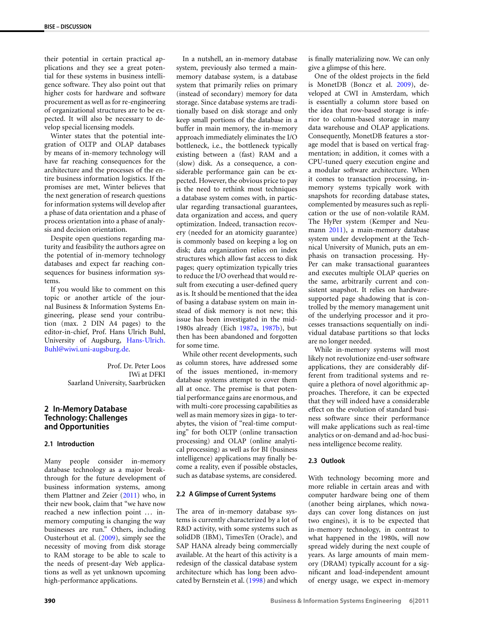their potential in certain practical applications and they see a great potential for these systems in business intelligence software. They also point out that higher costs for hardware and software procurement as well as for re-engineering of organizational structures are to be expected. It will also be necessary to develop special licensing models.

Winter states that the potential integration of OLTP and OLAP databases by means of in-memory technology will have far reaching consequences for the architecture and the processes of the entire business information logistics. If the promises are met, Winter believes that the next generation of research questions for information systems will develop after a phase of data orientation and a phase of process orientation into a phase of analysis and decision orientation.

Despite open questions regarding maturity and feasibility the authors agree on the potential of in-memory technology databases and expect far reaching consequences for business information systems.

If you would like to comment on this topic or another article of the journal Business & Information Systems Engineering, please send your contribution (max. 2 DIN A4 pages) to the editor-in-chief, Prof. Hans Ulrich Buhl, University of Augsburg, [Hans-Ulrich.](mailto:Hans-Ulrich.Buhl@wiwi.uni-augsburg.de) [Buhl@wiwi.uni-augsburg.de.](mailto:Hans-Ulrich.Buhl@wiwi.uni-augsburg.de)

> Prof. Dr. Peter Loos IWi at DFKI Saarland University, Saarbrücken

# <span id="page-1-0"></span>**2 In-Memory Database Technology: Challenges and Opportunities**

# **2.1 Introduction**

Many people consider in-memory database technology as a major breakthrough for the future development of business information systems, among them Plattner and Zeier [\(2011\)](#page-6-4) who, in their new book, claim that "we have now reached a new inflection point ... inmemory computing is changing the way businesses are run." Others, including Ousterhout et al. ([2009\)](#page-6-5), simply see the necessity of moving from disk storage to RAM storage to be able to scale to the needs of present-day Web applications as well as yet unknown upcoming high-performance applications.

In a nutshell, an in-memory database system, previously also termed a mainmemory database system, is a database system that primarily relies on primary (instead of secondary) memory for data storage. Since database systems are traditionally based on disk storage and only keep small portions of the database in a buffer in main memory, the in-memory approach immediately eliminates the I/O bottleneck, i.e., the bottleneck typically existing between a (fast) RAM and a (slow) disk. As a consequence, a considerable performance gain can be expected. However, the obvious price to pay is the need to rethink most techniques a database system comes with, in particular regarding transactional guarantees, data organization and access, and query optimization. Indeed, transaction recovery (needed for an atomicity guarantee) is commonly based on keeping a log on disk; data organization relies on index structures which allow fast access to disk pages; query optimization typically tries to reduce the I/O overhead that would result from executing a user-defined query as is. It should be mentioned that the idea of basing a database system on main instead of disk memory is not new; this issue has been investigated in the mid-1980s already (Eich [1987a](#page-6-6), [1987b](#page-6-7)), but then has been abandoned and forgotten for some time.

While other recent developments, such as column stores, have addressed some of the issues mentioned, in-memory database systems attempt to cover them all at once. The premise is that potential performance gains are enormous, and with multi-core processing capabilities as well as main memory sizes in giga- to terabytes, the vision of "real-time computing" for both OLTP (online transaction processing) and OLAP (online analytical processing) as well as for BI (business intelligence) applications may finally become a reality, even if possible obstacles, such as database systems, are considered.

## **2.2 A Glimpse of Current Systems**

The area of in-memory database systems is currently characterized by a lot of R&D activity, with some systems such as solidDB (IBM), TimesTen (Oracle), and SAP HANA already being commercially available. At the heart of this activity is a redesign of the classical database system architecture which has long been advocated by Bernstein et al. ([1998\)](#page-6-8) and which

is finally materializing now. We can only give a glimpse of this here.

One of the oldest projects in the field is MonetDB (Boncz et al. [2009](#page-6-9)), developed at CWI in Amsterdam, which is essentially a column store based on the idea that row-based storage is inferior to column-based storage in many data warehouse and OLAP applications. Consequently, MonetDB features a storage model that is based on vertical fragmentation; in addition, it comes with a CPU-tuned query execution engine and a modular software architecture. When it comes to transaction processing, inmemory systems typically work with snapshots for recording database states, complemented by measures such as replication or the use of non-volatile RAM. The HyPer system (Kemper and Neumann [2011\)](#page-6-10), a main-memory database system under development at the Technical University of Munich, puts an emphasis on transaction processing. Hy-Per can make transactional guarantees and executes multiple OLAP queries on the same, arbitrarily current and consistent snapshot. It relies on hardwaresupported page shadowing that is controlled by the memory management unit of the underlying processor and it processes transactions sequentially on individual database partitions so that locks are no longer needed.

While in-memory systems will most likely not revolutionize end-user software applications, they are considerably different from traditional systems and require a plethora of novel algorithmic approaches. Therefore, it can be expected that they will indeed have a considerable effect on the evolution of standard business software since their performance will make applications such as real-time analytics or on-demand and ad-hoc business intelligence become reality.

## **2.3 Outlook**

With technology becoming more and more reliable in certain areas and with computer hardware being one of them (another being airplanes, which nowadays can cover long distances on just two engines), it is to be expected that in-memory technology, in contrast to what happened in the 1980s, will now spread widely during the next couple of years. As large amounts of main memory (DRAM) typically account for a significant and load-independent amount of energy usage, we expect in-memory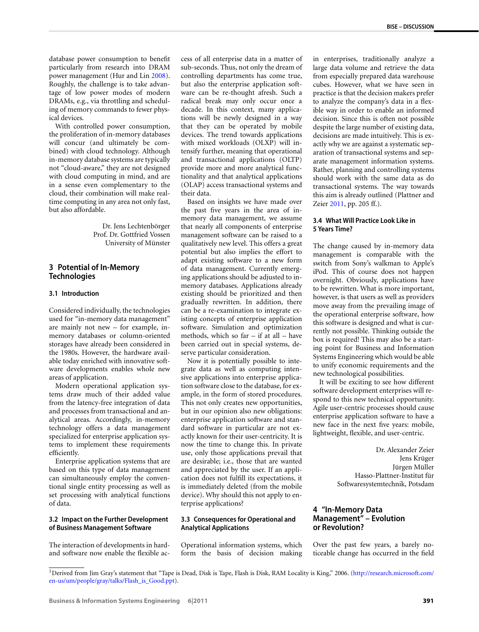database power consumption to benefit particularly from research into DRAM power management (Hur and Lin [2008](#page-6-11)). Roughly, the challenge is to take advantage of low power modes of modern DRAMs, e.g., via throttling and scheduling of memory commands to fewer physical devices.

With controlled power consumption, the proliferation of in-memory databases will concur (and ultimately be combined) with cloud technology. Although in-memory database systems are typically not "cloud-aware," they are not designed with cloud computing in mind, and are in a sense even complementary to the cloud, their combination will make realtime computing in any area not only fast, but also affordable.

> Dr. Jens Lechtenbörger Prof. Dr. Gottfried Vossen University of Münster

# <span id="page-2-1"></span>**3 Potential of In-Memory Technologies**

# **3.1 Introduction**

Considered individually, the technologies used for "in-memory data management" are mainly not new – for example, inmemory databases or column-oriented storages have already been considered in the 1980s. However, the hardware available today enriched with innovative software developments enables whole new areas of application.

Modern operational application systems draw much of their added value from the latency-free integration of data and processes from transactional and analytical areas. Accordingly, in-memory technology offers a data management specialized for enterprise application systems to implement these requirements efficiently.

Enterprise application systems that are based on this type of data management can simultaneously employ the conventional single entity processing as well as set processing with analytical functions of data.

# <span id="page-2-0"></span>**3.2 Impact on the Further Development of Business Management Software**

The interaction of developments in hardand software now enable the flexible access of all enterprise data in a matter of sub-seconds. Thus, not only the dream of controlling departments has come true, but also the enterprise application software can be re-thought afresh. Such a radical break may only occur once a decade. In this context, many applications will be newly designed in a way that they can be operated by mobile devices. The trend towards applications with mixed workloads (OLXP) will intensify further, meaning that operational and transactional applications (OLTP) provide more and more analytical functionality and that analytical applications (OLAP) access transactional systems and their data.

Based on insights we have made over the past five years in the area of inmemory data management, we assume that nearly all components of enterprise management software can be raised to a qualitatively new level. This offers a great potential but also implies the effort to adapt existing software to a new form of data management. Currently emerging applications should be adjusted to inmemory databases. Applications already existing should be prioritized and then gradually rewritten. In addition, there can be a re-examination to integrate existing concepts of enterprise application software. Simulation and optimization methods, which so  $far - if at all - have$ been carried out in special systems, deserve particular consideration.

Now it is potentially possible to integrate data as well as computing intensive applications into enterprise application software close to the database, for example, in the form of stored procedures. This not only creates new opportunities, but in our opinion also new obligations: enterprise application software and standard software in particular are not exactly known for their user-centricity. It is now the time to change this. In private use, only those applications prevail that are desirable; i.e., those that are wanted and appreciated by the user. If an application does not fulfill its expectations, it is immediately deleted (from the mobile device). Why should this not apply to enterprise applications?

# **3.3 Consequences for Operational and Analytical Applications**

Operational information systems, which form the basis of decision making in enterprises, traditionally analyze a large data volume and retrieve the data from especially prepared data warehouse cubes. However, what we have seen in practice is that the decision makers prefer to analyze the company's data in a flexible way in order to enable an informed decision. Since this is often not possible despite the large number of existing data, decisions are made intuitively. This is exactly why we are against a systematic separation of transactional systems and separate management information systems. Rather, planning and controlling systems should work with the same data as do transactional systems. The way towards this aim is already outlined (Plattner and Zeier [2011,](#page-6-12) pp. 205 ff.).

# **3.4 What Will Practice Look Like in 5 Years Time?**

The change caused by in-memory data management is comparable with the switch from Sony's walkman to Apple's iPod. This of course does not happen overnight. Obviously, applications have to be rewritten. What is more important, however, is that users as well as providers move away from the prevailing image of the operational enterprise software, how this software is designed and what is currently not possible. Thinking outside the box is required! This may also be a starting point for Business and Information Systems Engineering which would be able to unify economic requirements and the new technological possibilities.

It will be exciting to see how different software development enterprises will respond to this new technical opportunity. Agile user-centric processes should cause enterprise application software to have a new face in the next five years: mobile, lightweight, flexible, and user-centric.

> Dr. Alexander Zeier Jens Krüger Jürgen Müller Hasso-Plattner-Institut für Softwaresystemtechnik, Potsdam

# **4 "In-Memory Data Management" – Evolution or Revolution?**

Over the past few years, a barely noticeable change has occurred in the field

<sup>1</sup>Derived from Jim Gray's statement that "Tape is Dead, Disk is Tape, Flash is Disk, RAM Locality is King," 2006. [\(http://research.microsoft.com/](http://research.microsoft.com/en-us/um/people/gray/talks/Flash_is_Good.ppt) [en-us/um/people/gray/talks/Flash\\_is\\_Good.ppt\)](http://research.microsoft.com/en-us/um/people/gray/talks/Flash_is_Good.ppt).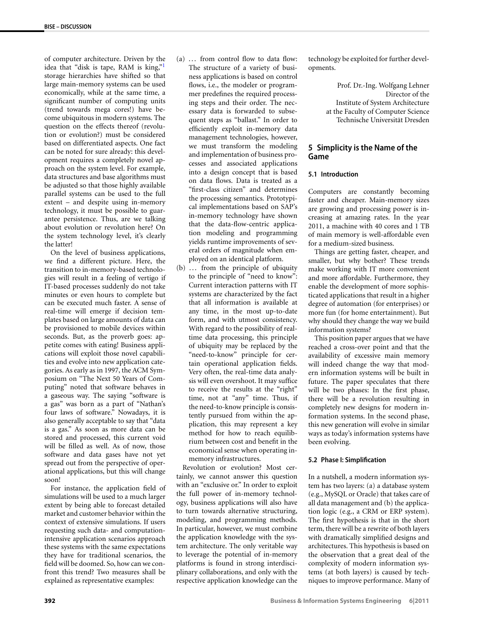of computer architecture. Driven by the idea that "disk is tape, RAM is king,["1](#page-2-0) storage hierarchies have shifted so that large main-memory systems can be used economically, while at the same time, a significant number of computing units (trend towards mega cores!) have become ubiquitous in modern systems. The question on the effects thereof (revolution or evolution?) must be considered based on differentiated aspects. One fact can be noted for sure already: this development requires a completely novel approach on the system level. For example, data structures and base algorithms must be adjusted so that those highly available parallel systems can be used to the full extent – and despite using in-memory technology, it must be possible to guarantee persistence. Thus, are we talking about evolution or revolution here? On the system technology level, it's clearly the latter!

On the level of business applications, we find a different picture. Here, the transition to in-memory-based technologies will result in a feeling of vertigo if IT-based processes suddenly do not take minutes or even hours to complete but can be executed much faster. A sense of real-time will emerge if decision templates based on large amounts of data can be provisioned to mobile devices within seconds. But, as the proverb goes: appetite comes with eating! Business applications will exploit those novel capabilities and evolve into new application categories. As early as in 1997, the ACM Symposium on "The Next 50 Years of Computing" noted that software behaves in a gaseous way. The saying "software is a gas" was born as a part of "Nathan's four laws of software." Nowadays, it is also generally acceptable to say that "data is a gas." As soon as more data can be stored and processed, this current void will be filled as well. As of now, those software and data gases have not yet spread out from the perspective of operational applications, but this will change soon!

For instance, the application field of simulations will be used to a much larger extent by being able to forecast detailed market and customer behavior within the context of extensive simulations. If users requesting such data- and computationintensive application scenarios approach these systems with the same expectations they have for traditional scenarios, the field will be doomed. So, how can we confront this trend? Two measures shall be explained as representative examples:

- $(a)$  ... from control flow to data flow: The structure of a variety of business applications is based on control flows, i.e., the modeler or programmer predefines the required processing steps and their order. The necessary data is forwarded to subsequent steps as "ballast." In order to efficiently exploit in-memory data management technologies, however, we must transform the modeling and implementation of business processes and associated applications into a design concept that is based on data flows. Data is treated as a "first-class citizen" and determines the processing semantics. Prototypical implementations based on SAP's in-memory technology have shown that the data-flow-centric application modeling and programming yields runtime improvements of several orders of magnitude when employed on an identical platform.
- $(b)$  ... from the principle of ubiquity to the principle of "need to know": Current interaction patterns with IT systems are characterized by the fact that all information is available at any time, in the most up-to-date form, and with utmost consistency. With regard to the possibility of realtime data processing, this principle of ubiquity may be replaced by the "need-to-know" principle for certain operational application fields. Very often, the real-time data analysis will even overshoot. It may suffice to receive the results at the "right" time, not at "any" time. Thus, if the need-to-know principle is consistently pursued from within the application, this may represent a key method for how to reach equilibrium between cost and benefit in the economical sense when operating inmemory infrastructures.

Revolution or evolution? Most certainly, we cannot answer this question with an "exclusive or." In order to exploit the full power of in-memory technology, business applications will also have to turn towards alternative structuring, modeling, and programming methods. In particular, however, we must combine the application knowledge with the system architecture. The only veritable way to leverage the potential of in-memory platforms is found in strong interdisciplinary collaborations, and only with the respective application knowledge can the

<span id="page-3-0"></span>technology be exploited for further developments.

> Prof. Dr.-Ing. Wolfgang Lehner Director of the Institute of System Architecture at the Faculty of Computer Science Technische Universität Dresden

# **5 Simplicity is the Name of the Game**

## **5.1 Introduction**

Computers are constantly becoming faster and cheaper. Main-memory sizes are growing and processing power is increasing at amazing rates. In the year 2011, a machine with 40 cores and 1 TB of main memory is well-affordable even for a medium-sized business.

Things are getting faster, cheaper, and smaller, but why bother? These trends make working with IT more convenient and more affordable. Furthermore, they enable the development of more sophisticated applications that result in a higher degree of automation (for enterprises) or more fun (for home entertainment). But why should they change the way we build information systems?

This position paper argues that we have reached a cross-over point and that the availability of excessive main memory will indeed change the way that modern information systems will be built in future. The paper speculates that there will be two phases: In the first phase, there will be a revolution resulting in completely new designs for modern information systems. In the second phase, this new generation will evolve in similar ways as today's information systems have been evolving.

## **5.2 Phase I: Simplification**

In a nutshell, a modern information system has two layers: (a) a database system (e.g., MySQL or Oracle) that takes care of all data management and (b) the application logic (e.g., a CRM or ERP system). The first hypothesis is that in the short term, there will be a rewrite of both layers with dramatically simplified designs and architectures. This hypothesis is based on the observation that a great deal of the complexity of modern information systems (at both layers) is caused by techniques to improve performance. Many of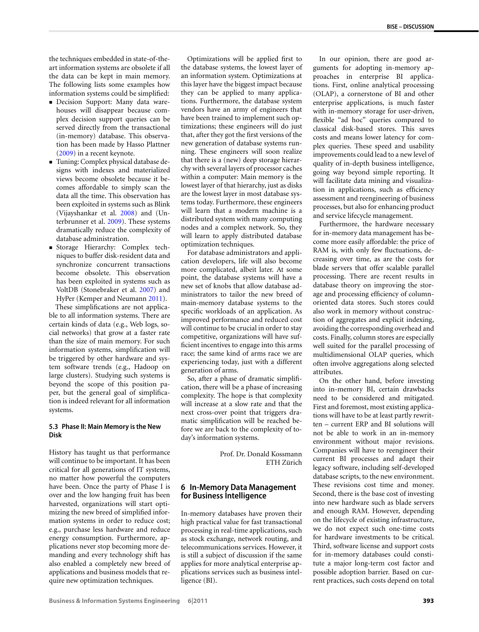the techniques embedded in state-of-theart information systems are obsolete if all the data can be kept in main memory. The following lists some examples how information systems could be simplified:

- Decision Support: Many data warehouses will disappear because complex decision support queries can be served directly from the transactional (in-memory) database. This observation has been made by Hasso Plattner ([2009\)](#page-6-13) in a recent keynote.
- Tuning: Complex physical database designs with indexes and materialized views become obsolete because it becomes affordable to simply scan the data all the time. This observation has been exploited in systems such as Blink (Vijayshankar et al. [2008](#page-6-14)) and (Unterbrunner et al. [2009\)](#page-6-15). These systems dramatically reduce the complexity of database administration.
- - Storage Hierarchy: Complex techniques to buffer disk-resident data and synchronize concurrent transactions become obsolete. This observation has been exploited in systems such as VoltDB (Stonebraker et al. [2007\)](#page-6-16) and HyPer (Kemper and Neumann [2011](#page-6-17)).

These simplifications are not applicable to all information systems. There are certain kinds of data (e.g., Web logs, social networks) that grow at a faster rate than the size of main memory. For such information systems, simplification will be triggered by other hardware and system software trends (e.g., Hadoop on large clusters). Studying such systems is beyond the scope of this position paper, but the general goal of simplification is indeed relevant for all information systems.

## **5.3 Phase II: Main Memory is the New Disk**

History has taught us that performance will continue to be important. It has been critical for all generations of IT systems, no matter how powerful the computers have been. Once the party of Phase I is over and the low hanging fruit has been harvested, organizations will start optimizing the new breed of simplified information systems in order to reduce cost; e.g., purchase less hardware and reduce energy consumption. Furthermore, applications never stop becoming more demanding and every technology shift has also enabled a completely new breed of applications and business models that require new optimization techniques.

Optimizations will be applied first to the database systems, the lowest layer of an information system. Optimizations at this layer have the biggest impact because they can be applied to many applications. Furthermore, the database system vendors have an army of engineers that have been trained to implement such optimizations; these engineers will do just that, after they got the first versions of the new generation of database systems running. These engineers will soon realize that there is a (new) deep storage hierarchy with several layers of processor caches within a computer: Main memory is the lowest layer of that hierarchy, just as disks are the lowest layer in most database systems today. Furthermore, these engineers will learn that a modern machine is a distributed system with many computing nodes and a complex network. So, they will learn to apply distributed database optimization techniques.

For database administrators and application developers, life will also become more complicated, albeit later. At some point, the database systems will have a new set of knobs that allow database administrators to tailor the new breed of main-memory database systems to the specific workloads of an application. As improved performance and reduced cost will continue to be crucial in order to stay competitive, organizations will have sufficient incentives to engage into this arms race; the same kind of arms race we are experiencing today, just with a different generation of arms.

So, after a phase of dramatic simplification, there will be a phase of increasing complexity. The hope is that complexity will increase at a slow rate and that the next cross-over point that triggers dramatic simplification will be reached before we are back to the complexity of today's information systems.

> Prof. Dr. Donald Kossmann ETH Zürich

# **6 In-Memory Data Management for Business Intelligence**

In-memory databases have proven their high practical value for fast transactional processing in real-time applications, such as stock exchange, network routing, and telecommunications services. However, it is still a subject of discussion if the same applies for more analytical enterprise applications services such as business intelligence (BI).

In our opinion, there are good arguments for adopting in-memory approaches in enterprise BI applications. First, online analytical processing (OLAP), a cornerstone of BI and other enterprise applications, is much faster with in-memory storage for user-driven, flexible "ad hoc" queries compared to classical disk-based stores. This saves costs and means lower latency for complex queries. These speed and usability improvements could lead to a new level of quality of in-depth business intelligence, going way beyond simple reporting. It will facilitate data mining and visualization in applications, such as efficiency assessment and reengineering of business processes, but also for enhancing product and service lifecycle management.

Furthermore, the hardware necessary for in-memory data management has become more easily affordable: the price of RAM is, with only few fluctuations, decreasing over time, as are the costs for blade servers that offer scalable parallel processing. There are recent results in database theory on improving the storage and processing efficiency of columnoriented data stores. Such stores could also work in memory without construction of aggregates and explicit indexing, avoiding the corresponding overhead and costs. Finally, column stores are especially well suited for the parallel processing of multidimensional OLAP queries, which often involve aggregations along selected attributes.

On the other hand, before investing into in-memory BI, certain drawbacks need to be considered and mitigated. First and foremost, most existing applications will have to be at least partly rewritten – current ERP and BI solutions will not be able to work in an in-memory environment without major revisions. Companies will have to reengineer their current BI processes and adapt their legacy software, including self-developed database scripts, to the new environment. These revisions cost time and money. Second, there is the base cost of investing into new hardware such as blade servers and enough RAM. However, depending on the lifecycle of existing infrastructure, we do not expect such one-time costs for hardware investments to be critical. Third, software license and support costs for in-memory databases could constitute a major long-term cost factor and possible adoption barrier. Based on current practices, such costs depend on total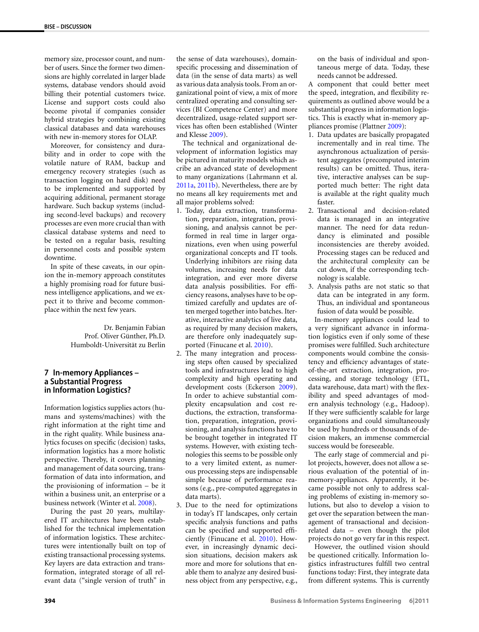memory size, processor count, and number of users. Since the former two dimensions are highly correlated in larger blade systems, database vendors should avoid billing their potential customers twice. License and support costs could also become pivotal if companies consider hybrid strategies by combining existing classical databases and data warehouses with new in-memory stores for OLAP.

Moreover, for consistency and durability and in order to cope with the volatile nature of RAM, backup and emergency recovery strategies (such as transaction logging on hard disk) need to be implemented and supported by acquiring additional, permanent storage hardware. Such backup systems (including second-level backups) and recovery processes are even more crucial than with classical database systems and need to be tested on a regular basis, resulting in personnel costs and possible system downtime.

In spite of these caveats, in our opinion the in-memory approach constitutes a highly promising road for future business intelligence applications, and we expect it to thrive and become commonplace within the next few years.

> Dr. Benjamin Fabian Prof. Oliver Günther, Ph.D. Humboldt-Universität zu Berlin

# <span id="page-5-0"></span>**7 In-memory Appliances – a Substantial Progress in Information Logistics?**

Information logistics supplies actors (humans and systems/machines) with the right information at the right time and in the right quality. While business analytics focuses on specific (decision) tasks, information logistics has a more holistic perspective. Thereby, it covers planning and management of data sourcing, transformation of data into information, and the provisioning of information – be it within a business unit, an enterprise or a business network (Winter et al. [2008\)](#page-6-18).

During the past 20 years, multilayered IT architectures have been established for the technical implementation of information logistics. These architectures were intentionally built on top of existing transactional processing systems. Key layers are data extraction and transformation, integrated storage of all relevant data ("single version of truth" in the sense of data warehouses), domainspecific processing and dissemination of data (in the sense of data marts) as well as various data analysis tools. From an organizational point of view, a mix of more centralized operating and consulting services (BI Competence Center) and more decentralized, usage-related support services has often been established (Winter and Klesse [2009](#page-6-19)).

The technical and organizational development of information logistics may be pictured in maturity models which ascribe an advanced state of development to many organizations (Lahrmann et al. [2011a](#page-6-20), [2011b\)](#page-6-21). Nevertheless, there are by no means all key requirements met and all major problems solved:

- 1. Today, data extraction, transformation, preparation, integration, provisioning, and analysis cannot be performed in real time in larger organizations, even when using powerful organizational concepts and IT tools. Underlying inhibitors are rising data volumes, increasing needs for data integration, and ever more diverse data analysis possibilities. For efficiency reasons, analyses have to be optimized carefully and updates are often merged together into batches. Iterative, interactive analytics of live data, as required by many decision makers, are therefore only inadequately supported (Finucane et al. [2010\)](#page-6-22).
- 2. The many integration and processing steps often caused by specialized tools and infrastructures lead to high complexity and high operating and development costs (Eckerson [2009](#page-6-23)). In order to achieve substantial complexity encapsulation and cost reductions, the extraction, transformation, preparation, integration, provisioning, and analysis functions have to be brought together in integrated IT systems. However, with existing technologies this seems to be possible only to a very limited extent, as numerous processing steps are indispensable simple because of performance reasons (e.g., pre-computed aggregates in data marts).
- 3. Due to the need for optimizations in today's IT landscapes, only certain specific analysis functions and paths can be specified and supported efficiently (Finucane et al. [2010\)](#page-6-22). However, in increasingly dynamic decision situations, decision makers ask more and more for solutions that enable them to analyze any desired business object from any perspective, e.g.,

on the basis of individual and spontaneous merge of data. Today, these needs cannot be addressed.

A component that could better meet the speed, integration, and flexibility requirements as outlined above would be a substantial progress in information logistics. This is exactly what in-memory appliances promise (Plattner [2009\)](#page-6-13):

- 1. Data updates are basically propagated incrementally and in real time. The asynchronous actualization of persistent aggregates (precomputed interim results) can be omitted. Thus, iterative, interactive analyses can be supported much better: The right data is available at the right quality much faster.
- 2. Transactional and decision-related data is managed in an integrative manner. The need for data redundancy is eliminated and possible inconsistencies are thereby avoided. Processing stages can be reduced and the architectural complexity can be cut down, if the corresponding technology is scalable.
- 3. Analysis paths are not static so that data can be integrated in any form. Thus, an individual and spontaneous fusion of data would be possible.

In-memory appliances could lead to a very significant advance in information logistics even if only some of these promises were fulfilled. Such architecture components would combine the consistency and efficiency advantages of stateof-the-art extraction, integration, processing, and storage technology (ETL, data warehouse, data mart) with the flexibility and speed advantages of modern analysis technology (e.g., Hadoop). If they were sufficiently scalable for large organizations and could simultaneously be used by hundreds or thousands of decision makers, an immense commercial success would be foreseeable.

The early stage of commercial and pilot projects, however, does not allow a serious evaluation of the potential of inmemory-appliances. Apparently, it became possible not only to address scaling problems of existing in-memory solutions, but also to develop a vision to get over the separation between the management of transactional and decisionrelated data – even though the pilot projects do not go very far in this respect.

However, the outlined vision should be questioned critically. Information logistics infrastructures fulfill two central functions today: First, they integrate data from different systems. This is currently